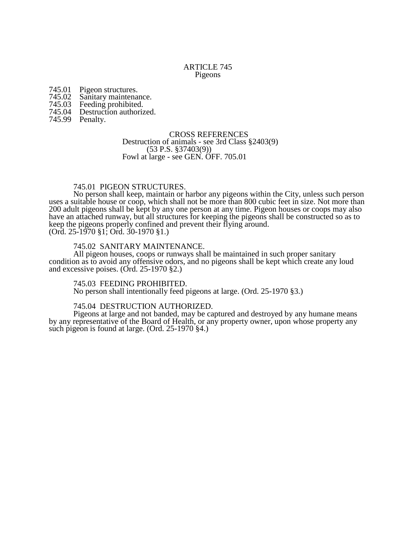### ARTICLE 745 Pigeons

- 745.01 Pigeon structures.<br>745.02 Sanitary maintena
- 745.02 Sanitary maintenance.<br>745.03 Feeding prohibited.
- 745.03 Feeding prohibited.
- Destruction authorized.
- 745.99 Penalty.

### CROSS REFERENCES

#### Destruction of animals - see 3rd Class §2403(9) (53 P.S. §37403(9)) Fowl at large - see GEN. OFF. 705.01

## 745.01 PIGEON STRUCTURES.

No person shall keep, maintain or harbor any pigeons within the City, unless such person uses a suitable house or coop, which shall not be more than 800 cubic feet in size. Not more than 200 adult pigeons shall be kept by any one person at any time. Pigeon houses or coops may also have an attached runway, but all structures for keeping the pigeons shall be constructed so as to keep the pigeons properly confined and prevent their flying around.

(Ord. 25-1970 §1; Ord. 30-1970 §1.)

# 745.02 SANITARY MAINTENANCE.

All pigeon houses, coops or runways shall be maintained in such proper sanitary condition as to avoid any offensive odors, and no pigeons shall be kept which create any loud and excessive poises. (Ord. 25-1970 §2.)

## 745.03 FEEDING PROHIBITED.

No person shall intentionally feed pigeons at large. (Ord. 25-1970 §3.)

## 745.04 DESTRUCTION AUTHORIZED.

Pigeons at large and not banded, may be captured and destroyed by any humane means by any representative of the Board of Health, or any property owner, upon whose property any such pigeon is found at large. (Ord. 25-1970 §4.)